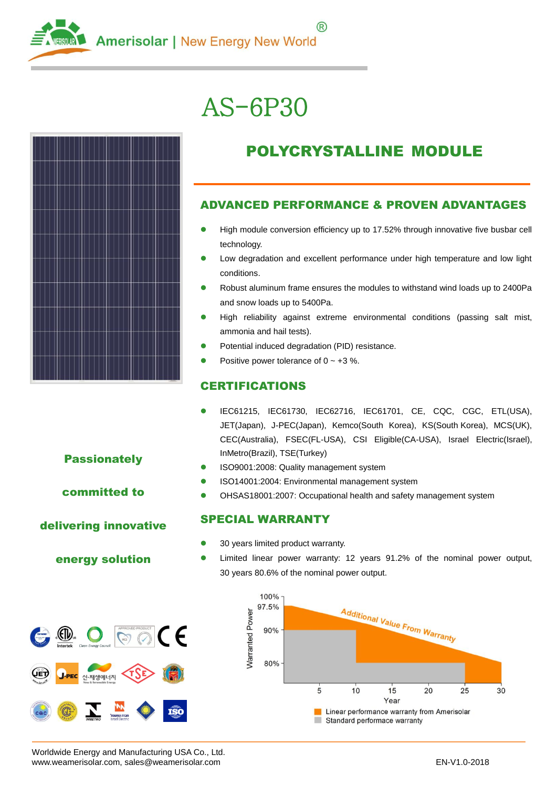

# AS-6P30



## POLYCRYSTALLINE MODULE

#### ADVANCED PERFORMANCE & PROVEN ADVANTAGES

- High module conversion efficiency up to 17.52% through innovative five busbar cell technology.
- Low degradation and excellent performance under high temperature and low light conditions.
- Robust aluminum frame ensures the modules to withstand wind loads up to 2400Pa and snow loads up to 5400Pa.
- High reliability against extreme environmental conditions (passing salt mist, ammonia and hail tests).
- Potential induced degradation (PID) resistance.
- Positive power tolerance of  $0 \sim +3$  %.

#### CERTIFICATIONS

- IEC61215, IEC61730, IEC62716, IEC61701, CE, CQC, CGC, ETL(USA), JET(Japan), J-PEC(Japan), Kemco(South Korea), KS(South Korea), MCS(UK), CEC(Australia), FSEC(FL-USA), CSI Eligible(CA-USA), Israel Electric(Israel), InMetro(Brazil), TSE(Turkey)
- ISO9001:2008: Quality management system
- **ISO14001:2004: Environmental management system**
- OHSAS18001:2007: Occupational health and safety management system

#### SPECIAL WARRANTY

- 30 years limited product warranty.
- Limited linear power warranty: 12 years 91.2% of the nominal power output, 30 years 80.6% of the nominal power output.



**Passionately** 

committed to

#### delivering innovative

#### energy solution



Worldwide Energy and Manufacturing USA Co., Ltd. www.weamerisolar.com, sales@weamerisolar.com entertainments and the entertainment of the EN-V1.0-2018